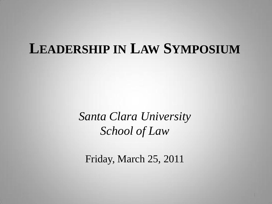# **LEADERSHIP IN LAW SYMPOSIUM**

*Santa Clara University School of Law*

Friday, March 25, 2011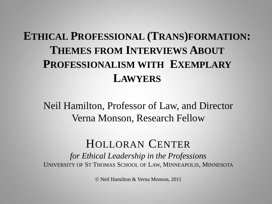## **ETHICAL PROFESSIONAL (TRANS)FORMATION: THEMES FROM INTERVIEWS ABOUT PROFESSIONALISM WITH EXEMPLARY LAWYERS**

Neil Hamilton, Professor of Law, and Director Verna Monson, Research Fellow

### HOLLORAN CENTER

*for Ethical Leadership in the Professions* UNIVERSITY OF ST THOMAS SCHOOL OF LAW, MINNEAPOLIS, MINNESOTA

© Neil Hamilton & Verna Monson, 2011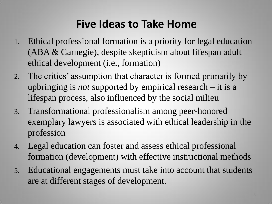## **Five Ideas to Take Home**

- 1. Ethical professional formation is a priority for legal education (ABA & Carnegie), despite skepticism about lifespan adult ethical development (i.e., formation)
- 2. The critics' assumption that character is formed primarily by upbringing is *not* supported by empirical research – it is a lifespan process, also influenced by the social milieu
- 3. Transformational professionalism among peer-honored exemplary lawyers is associated with ethical leadership in the profession
- 4. Legal education can foster and assess ethical professional formation (development) with effective instructional methods
- 5. Educational engagements must take into account that students are at different stages of development.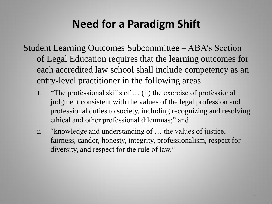## **Need for a Paradigm Shift**

Student Learning Outcomes Subcommittee – ABA's Section of Legal Education requires that the learning outcomes for each accredited law school shall include competency as an entry-level practitioner in the following areas

- 1. "The professional skills of … (ii) the exercise of professional judgment consistent with the values of the legal profession and professional duties to society, including recognizing and resolving ethical and other professional dilemmas;" and
- 2. "knowledge and understanding of … the values of justice, fairness, candor, honesty, integrity, professionalism, respect for diversity, and respect for the rule of law."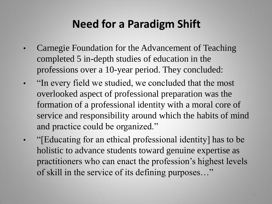## **Need for a Paradigm Shift**

- Carnegie Foundation for the Advancement of Teaching completed 5 in-depth studies of education in the professions over a 10-year period. They concluded:
- "In every field we studied, we concluded that the most overlooked aspect of professional preparation was the formation of a professional identity with a moral core of service and responsibility around which the habits of mind and practice could be organized."
- "[Educating for an ethical professional identity] has to be holistic to advance students toward genuine expertise as practitioners who can enact the profession's highest levels of skill in the service of its defining purposes…"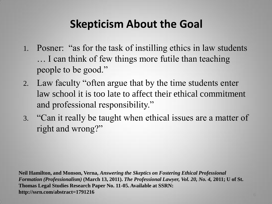## **Skepticism About the Goal**

- 1. Posner: "as for the task of instilling ethics in law students … I can think of few things more futile than teaching people to be good."
- 2. Law faculty "often argue that by the time students enter law school it is too late to affect their ethical commitment and professional responsibility."
- 3. "Can it really be taught when ethical issues are a matter of right and wrong?"

**Neil Hamilton, and Monson, Verna,** *Answering the Skeptics on Fostering Ethical Professional Formation (Professionalism)* **(March 13, 2011).** *The Professional Lawyer, Vol. 20, No. 4,* **2011; U of St. Thomas Legal Studies Research Paper No. 11-05. Available at SSRN: http://ssrn.com/abstract=1791216**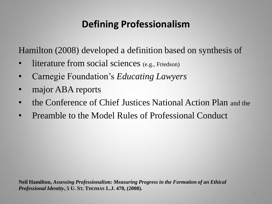## **Defining Professionalism**

Hamilton (2008) developed a definition based on synthesis of

- literature from social sciences (e.g., Friedson)
- Carnegie Foundation's *Educating Lawyers*
- major ABA reports
- the Conference of Chief Justices National Action Plan and the
- Preamble to the Model Rules of Professional Conduct

**Neil Hamilton,** *Assessing Professionalism: Measuring Progress in the Formation of an Ethical Professional Identity***, 5 U. ST. THOMAS L.J. 470, (2008).**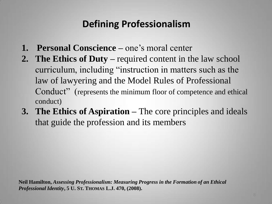## **Defining Professionalism**

- **1. Personal Conscience –** one's moral center
- **2. The Ethics of Duty –** required content in the law school curriculum, including "instruction in matters such as the law of lawyering and the Model Rules of Professional Conduct" (represents the minimum floor of competence and ethical conduct)
- **3. The Ethics of Aspiration –** The core principles and ideals that guide the profession and its members

**Neil Hamilton,** *Assessing Professionalism: Measuring Progress in the Formation of an Ethical Professional Identity***, 5 U. ST. THOMAS L.J. 470, (2008).**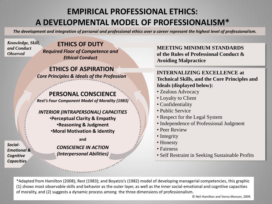#### **EMPIRICAL PROFESSIONAL ETHICS: A DEVELOPMENTAL MODEL OF PROFESSIONALISM\***

*The development and integration of personal and professional ethics over a career represent the highest level of professionalism.*

*Knowledge, Skill, and Conduct Observed*

**ETHICS OF DUTY** *Required Floor of Competence and Ethical Conduct*

**ETHICS OF ASPIRATION** *Core Principles & Ideals of the Profession*

#### **PERSONAL CONSCIENCE**

*Rest's Four Component Model of Morality (1983)*

#### *INTERIOR (INTRAPERSONAL) CAPACITIES*

•**Perceptual Clarity & Empathy** •**Reasoning & Judgment** •**Moral Motivation & Identity**

#### **and**

*CONSCIENCE IN ACTION (Interpersonal Abilities)* **MEETING MINIMUM STANDARDS of the Rules of Professional Conduct & Avoiding Malpractice**

#### **INTERNALIZING EXCELLENCE at Technical Skills, and the Core Principles and Ideals (displayed below):**

- Zealous Advocacy
- Loyalty to Client
- Confidentiality
- Public Service
- Respect for the Legal System
- Independence of Professional Judgment
- Peer Review
- Integrity
- Honesty
- Fairness
- Self Restraint in Seeking Sustainable Profits

\*Adapted from Hamilton (2008); Rest (1983); and Boyatzis's (1982) model of developing managerial competencies, this graphic (1) shows most observable skills and behavior as the outer layer, as well as the inner social-emotional and cognitive capacities of morality, and (2) suggests a dynamic process among the three dimensions of professionalism.

© Neil Hamilton and Verna Monson, 2009.

*Social-Emotional & Cognitive Capacities*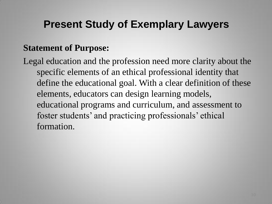## **Present Study of Exemplary Lawyers**

#### **Statement of Purpose:**

Legal education and the profession need more clarity about the specific elements of an ethical professional identity that define the educational goal. With a clear definition of these elements, educators can design learning models, educational programs and curriculum, and assessment to foster students' and practicing professionals' ethical formation.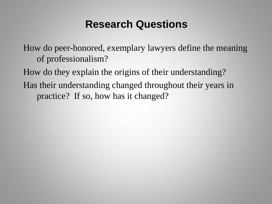### **Research Questions**

How do peer-honored, exemplary lawyers define the meaning of professionalism?

How do they explain the origins of their understanding?

Has their understanding changed throughout their years in practice? If so, how has it changed?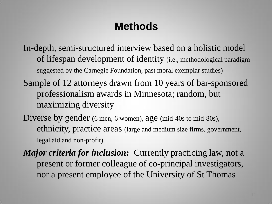## **Methods**

In-depth, semi-structured interview based on a holistic model of lifespan development of identity (i.e., methodological paradigm suggested by the Carnegie Foundation, past moral exemplar studies)

- Sample of 12 attorneys drawn from 10 years of bar-sponsored professionalism awards in Minnesota; random, but maximizing diversity
- Diverse by gender (6 men, 6 women), age (mid-40s to mid-80s), ethnicity, practice areas (large and medium size firms, government, legal aid and non-profit)

*Major criteria for inclusion:* Currently practicing law, not a present or former colleague of co-principal investigators, nor a present employee of the University of St Thomas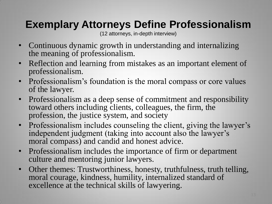## **Exemplary Attorneys Define Professionalism**

(12 attorneys, in-depth interview)

- Continuous dynamic growth in understanding and internalizing the meaning of professionalism.
- Reflection and learning from mistakes as an important element of professionalism.
- Professionalism's foundation is the moral compass or core values of the lawyer.
- Professionalism as a deep sense of commitment and responsibility toward others including clients, colleagues, the firm, the profession, the justice system, and society
- Professionalism includes counseling the client, giving the lawyer's independent judgment (taking into account also the lawyer's moral compass) and candid and honest advice.
- Professionalism includes the importance of firm or department culture and mentoring junior lawyers.
- Other themes: Trustworthiness, honesty, truthfulness, truth telling, moral courage, kindness, humility, internalized standard of excellence at the technical skills of lawyering.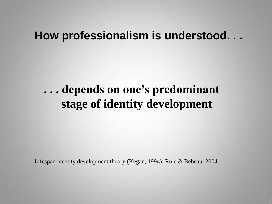### **How professionalism is understood. . .**

## **. . . depends on one's predominant stage of identity development**

Lifespan identity development theory (Kegan, 1994); Rule & Bebeau, 2004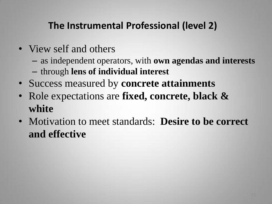## **The Instrumental Professional (level 2)**

- View self and others
	- as independent operators, with **own agendas and interests**
	- through **lens of individual interest**
- Success measured by **concrete attainments**
- Role expectations are **fixed, concrete, black & white**
- Motivation to meet standards: **Desire to be correct and effective**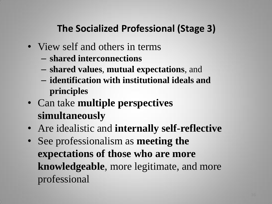## **The Socialized Professional (Stage 3)**

- View self and others in terms
	- **shared interconnections**
	- **shared values**, **mutual expectations**, and
	- **identification with institutional ideals and principles**
- Can take **multiple perspectives simultaneously**
- Are idealistic and **internally self-reflective**
- See professionalism as **meeting the expectations of those who are more knowledgeable**, more legitimate, and more professional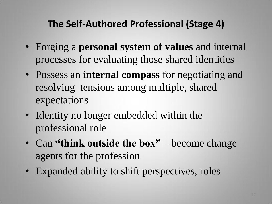### **The Self-Authored Professional (Stage 4)**

- Forging a **personal system of values** and internal processes for evaluating those shared identities
- Possess an **internal compass** for negotiating and resolving tensions among multiple, shared expectations
- Identity no longer embedded within the professional role
- Can "think outside the box" become change agents for the profession
- Expanded ability to shift perspectives, roles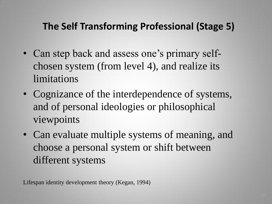### **The Self Transforming Professional (Stage 5)**

- Can step back and assess one's primary selfchosen system (from level 4), and realize its limitations
- Cognizance of the interdependence of systems, and of personal ideologies or philosophical viewpoints
- Can evaluate multiple systems of meaning, and choose a personal system or shift between different systems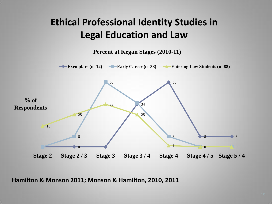### **Ethical Professional Identity Studies in Legal Education and Law**

**Percent at Kegan Stages (2010-11)**



**Hamilton & Monson 2011; Monson & Hamilton, 2010, 2011**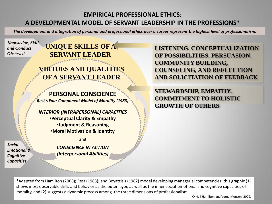#### **EMPIRICAL PROFESSIONAL ETHICS: A DEVELOPMENTAL MODEL OF SERVANT LEADERSHIP IN THE PROFESSIONS\***

*The development and integration of personal and professional ethics over a career represent the highest level of professionalism.*

*Knowledge, Skill, and Conduct Observed*

*Social-*

*Emotional & Cognitive Capacities* 

#### **UNIQUE SKILLS OF A SERVANT LEADER**

#### **VIRTUES AND QUALITIES OF A SERVANT LEADER**

**PERSONAL CONSCIENCE**

*Rest's Four Component Model of Morality (1983)*

*INTERIOR (INTRAPERSONAL) CAPACITIES*  •**Perceptual Clarity & Empathy** •**Judgment & Reasoning** •**Moral Motivation & Identity**

**and**

*CONSCIENCE IN ACTION (Interpersonal Abilities)* **LISTENING, CONCEPTUALIZATION OF POSSIBILITIES, PERSUASION, COMMUNITY BUILDING, COUNSELING, AND REFLECTION AND SOLICITATION OF FEEDBACK**

**STEWARDSHIP, EMPATHY, COMMITMENT TO HOLISTIC GROWTH OF OTHERS**

\*Adapted from Hamilton (2008); Rest (1983); and Boyatzis's (1982) model developing managerial competencies, this graphic (1) shows most observable skills and behavior as the outer layer, as well as the inner social-emotional and cognitive capacities of morality, and (2) suggests a dynamic process among the three dimensions of professionalism.

© Neil Hamilton and Verna Monson, 2009.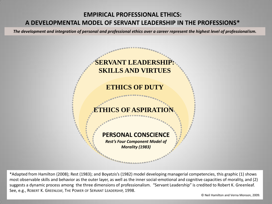#### **EMPIRICAL PROFESSIONAL ETHICS: A DEVELOPMENTAL MODEL OF SERVANT LEADERSHIP IN THE PROFESSIONS\***

*The development and integration of personal and professional ethics over a career represent the highest level of professionalism.*

# **ETHICS OF DUTY EHICS OF ASPIRA PERSONAL CONSCIENCE** *Rest's Four Component Model of Morality (1983)* **SERVANT LEADERSH SKILLS AND VIRTUES**

\*Adapted from Hamilton (2008); Rest (1983); and Boyatzis's (1982) model developing managerial competencies, this graphic (1) shows most observable skills and behavior as the outer layer, as well as the inner social-emotional and cognitive capacities of morality, and (2) suggests a dynamic process among the three dimensions of professionalism. "Servant Leadership" is credited to Robert K. Greenleaf. See, e.g., ROBERT K. GREENLEAF, THE POWER OF SERVANT LEADERSHIP, 1998.

© Neil Hamilton and Verna Monson, 2009.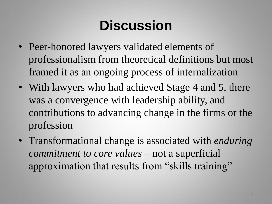# **Discussion**

- Peer-honored lawyers validated elements of professionalism from theoretical definitions but most framed it as an ongoing process of internalization
- With lawyers who had achieved Stage 4 and 5, there was a convergence with leadership ability, and contributions to advancing change in the firms or the profession
- Transformational change is associated with *enduring commitment to core values* – not a superficial approximation that results from "skills training"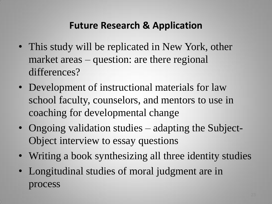#### **Future Research & Application**

- This study will be replicated in New York, other market areas – question: are there regional differences?
- Development of instructional materials for law school faculty, counselors, and mentors to use in coaching for developmental change
- Ongoing validation studies adapting the Subject-Object interview to essay questions
- Writing a book synthesizing all three identity studies
- Longitudinal studies of moral judgment are in process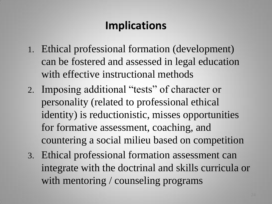## **Implications**

- 1. Ethical professional formation (development) can be fostered and assessed in legal education with effective instructional methods
- 2. Imposing additional "tests" of character or personality (related to professional ethical identity) is reductionistic, misses opportunities for formative assessment, coaching, and countering a social milieu based on competition
- 3. Ethical professional formation assessment can integrate with the doctrinal and skills curricula or with mentoring / counseling programs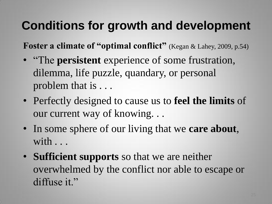# **Conditions for growth and development**

**Foster a climate of "optimal conflict"** (Kegan & Lahey, 2009, p.54)

- "The **persistent** experience of some frustration, dilemma, life puzzle, quandary, or personal problem that is . . .
- Perfectly designed to cause us to **feel the limits** of our current way of knowing. . .
- In some sphere of our living that we **care about**, with . . .
- **Sufficient supports** so that we are neither overwhelmed by the conflict nor able to escape or diffuse it."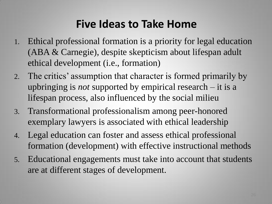## **Five Ideas to Take Home**

- 1. Ethical professional formation is a priority for legal education (ABA & Carnegie), despite skepticism about lifespan adult ethical development (i.e., formation)
- 2. The critics' assumption that character is formed primarily by upbringing is *not* supported by empirical research – it is a lifespan process, also influenced by the social milieu
- 3. Transformational professionalism among peer-honored exemplary lawyers is associated with ethical leadership
- 4. Legal education can foster and assess ethical professional formation (development) with effective instructional methods
- 5. Educational engagements must take into account that students are at different stages of development.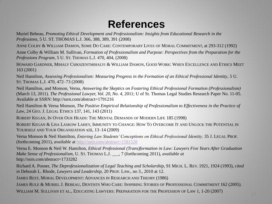### **References**

Muriel Bebeau, *Promoting Ethical Development and Professionalism: Insights from Educational Research in the Professions*, 5 U. ST. THOMAS L.J. 366, 388, 389, 391 (2008)

ANNE COLBY & WILLIAM DAMON, SOME DO CARE: CONTEMPORARY LIVES OF MORAL COMMITMENT, at 293-312 (1992)

Anne Colby & William M. Sullivan, *Formation of Professionalism and Purpose: Perspectives from the Preparation for the Professions Program,* 5 U. ST. THOMAS L.J. 470, 404, (2008)

HOWARD GARDNER, MIHALY CSIKSZENTMIHALYI & WILLIAM DAMON, GOOD WORK: WHEN EXCELLENCE AND ETHICS MEET 163 (2001)

Neil Hamilton, *Assessing Professionalism: Measuring Progress in the Formation of an Ethical Professional Identity*, 5 U. ST. THOMAS L.J. 470, 472–73 (2008)

Neil Hamilton, and Monson, Verna, *Answering the Skeptics on Fostering Ethical Professional Formation (Professionalism)*  (March 13, 2011). *The Professional Lawyer, Vol. 20, No. 4,* 2011; U of St. Thomas Legal Studies Research Paper No. 11-05. Available at SSRN: http://ssrn.com/abstract=1791216

Neil Hamilton & Verna Monson, *The Positive Empirical Relationship of Professionalism to Effectiveness in the Practice of Law*, 24 GEO. J. LEGAL ETHICS 137, 141, 143 (2011)

ROBERT KEGAN, IN OVER OUR HEADS: THE MENTAL DEMANDS OF MODERN LIFE 185 (1998)

ROBERT KEGAN & LISA LASKOW LAHEY, IMMUNITY TO CHANGE: HOW TO OVERCOME IT AND UNLOCK THE POTENTIAL IN YOURSELF AND YOUR ORGANIZATION xiii, 13-14 (2009)

Verna Monson & Neil Hamilton, *Entering Law Students' Conceptions on Ethical Professional Identity,* 35 J. LEGAL PROF. (forthcoming 2011), *available* at <http://ssrn.com/abstract=1581528>

Verna E. Monson & Neil W. Hamilton, *Ethical Professional (Trans)formation in Law: Lawyers Five Years After Graduation Make Sense of Professionalism*, U. ST. THOMAS L.J. \_\_\_, 7 (forthcoming 2011), *available at* http://ssrn.com/abstract=1733282

Richard A. Posner, *The Deprofessionalization of Legal Teaching and Scholarship,* 91 MICH. L. REV. 1921, 1924 (1993), *cited in* Deborah L. Rhode, *Lawyers and Leadership,* 20 PROF. LAW., no 3., 2010 at 12.

JAMES REST, MORAL DEVELOPMENT: ADVANCES IN RESEARCH AND THEORY (1986)

JAMES RULE & MURIEL J. BEBEAU, DENTISTS WHO CARE: INSPIRING STORIES OF PROFESSIONAL COMMITMENT 162 (2005).

WILLIAM M. SULLIVAN ET AL., EDUCATING LAWYERS: PREPARATION FOR THE PROFESSION OF LAW 1, 1-20 (2007)